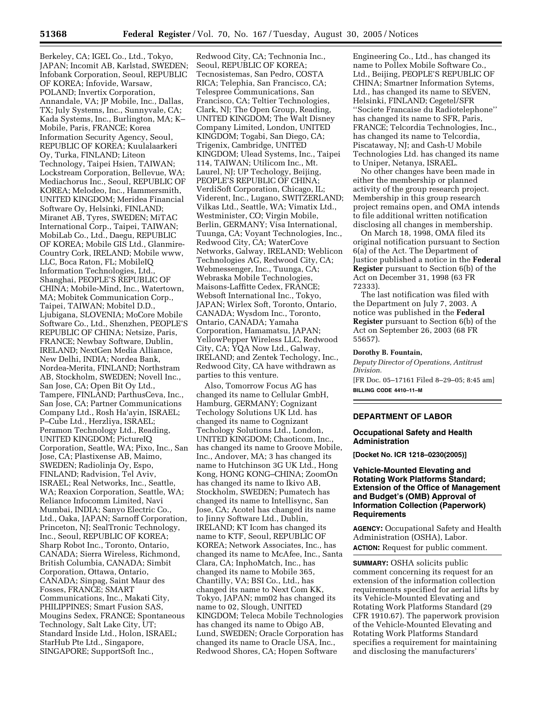Berkeley, CA; IGEL Co., Ltd., Tokyo, JAPAN; Incomit AB, Karlstad, SWEDEN; Infobank Corporation, Seoul, REPUBLIC OF KOREA; Infovide, Warsaw, POLAND; Invertix Corporation, Annandale, VA; JP Mobile, Inc., Dallas, TX; July Systems, Inc., Sunnyvale, CA; Kada Systems, Inc., Burlington, MA; K– Mobile, Paris, FRANCE; Korea Information Security Agency, Seoul, REPUBLIC OF KOREA; Kuulalaarkeri Oy, Turka, FINLAND; Liteon Technology, Taipei Hsien, TAIWAN; Lockstream Corporation, Bellevue, WA; Mediachorus Inc., Seoul, REPUBLIC OF KOREA; Melodeo, Inc., Hammersmith, UNITED KINGDOM; Meridea Financial Software Oy, Helsinki, FINLAND; Miranet AB, Tyres, SWEDEN; MiTAC International Corp., Taipei, TAIWAN; MobiLab Co., Ltd., Daegu, REPUBLIC OF KOREA; Mobile GIS Ltd., Glanmire-Country Cork, IRELAND; Mobile www, LLC, Boca Raton, FL; MobileIQ Information Technologies, Ltd., Shanghai, PEOPLE'S REPUBLIC OF CHINA; Mobile-Mind, Inc., Watertown, MA; Mobitek Communication Corp., Taipei, TAIWAN; Mobitel D.D., Ljubigana, SLOVENIA; MoCore Mobile Software Co., Ltd., Shenzhen, PEOPLE'S REPUBLIC OF CHINA; Netsize, Paris, FRANCE; Newbay Software, Dublin, IRELAND; NextGen Media Alliance, New Delhi, INDIA; Nordea Bank, Nordea-Merita, FINLAND; Northstram AB, Stockholm, SWEDEN; Novell Inc., San Jose, CA; Open Bit Oy Ltd., Tampere, FINLAND; ParthusCeva, Inc., San Jose, CA; Partner Communications Company Ltd., Rosh Ha'ayin, ISRAEL; P–Cube Ltd., Herzliya, ISRAEL; Peramon Technology Ltd., Reading, UNITED KINGDOM; PictureIQ Corporation, Seattle, WA; Pixo, Inc., San Jose, CA; Plastixense AB, Maimo, SWEDEN; Radiolinja Oy, Espo, FINLAND; Radvision, Tel Aviv, ISRAEL; Real Networks, Inc., Seattle, WA; Reaxion Corporation, Seattle, WA; Reliance Infocomm Limited, Navi Mumbai, INDIA; Sanyo Electric Co., Ltd., Oaka, JAPAN; Sarnoff Corporation, Princeton, NJ; SealTronic Technology, Inc., Seoul, REPUBLIC OF KOREA; Sharp Robot Inc., Toronto, Ontario, CANADA; Sierra Wireless, Richmond, British Columbia, CANADA; Simbit Corporation, Ottawa, Ontario, CANADA; Sinpag, Saint Maur des Fosses, FRANCE; SMART Communications, Inc., Makati City, PHILIPPINES; Smart Fusion SAS, Mougins Sedex, FRANCE; Spontaneous Technology, Salt Lake City, UT; Standard Inside Ltd., Holon, ISRAEL; StarHub Pte Ltd., Singapore, SINGAPORE; SupportSoft Inc.,

Redwood City, CA; Technonia Inc., Seoul, REPUBLIC OF KOREA; Tecnosistemas, San Pedro, COSTA RICA; Telephia, San Francisco, CA; Telespree Communications, San Francisco, CA; Teltier Technologies, Clark, NJ; The Open Group, Reading, UNITED KINGDOM; The Walt Disney Company Limited, London, UNITED KINGDOM; Togabi, San Diego, CA; Trigenix, Cambridge, UNITED KINGDOM; Ulead Systems, Inc., Taipei 114, TAIWAN; Utilicom Inc., Mt. Laurel, NJ; UP Techology, Beijing, PEOPLE'S REPUBLIC OF CHINA; VerdiSoft Corporation, Chicago, IL; Viderent, Inc., Lugano, SWITZERLAND; Vilkas Ltd., Seattle, WA; Vimatix Ltd., Westminister, CO; Virgin Mobile, Berlin, GERMANY; Visa International, Tuunga, CA; Voyant Technologies, Inc., Redwood City, CA; WaterCove Networks, Galway, IRELAND; Weblicon Technologies AG, Redwood City, CA; Webmessenger, Inc., Tuunga, CA; Webraska Mobile Technologies, Maisons-Laffitte Cedex, FRANCE; Websoft International Inc., Tokyo, JAPAN; Wirlex Soft, Toronto, Ontario, CANADA; Wysdom Inc., Toronto, Ontario, CANADA; Yamaha Corporation, Hamamatsu, JAPAN; YellowPepper Wireless LLC, Redwood City, CA; YQA Now Ltd., Galway, IRELAND; and Zentek Techology, Inc., Redwood City, CA have withdrawn as parties to this venture.

Also, Tomorrow Focus AG has changed its name to Cellular GmbH, Hamburg, GERMANY; Cognizant Techology Solutions UK Ltd. has changed its name to Cognizant Techology Solutions Ltd., London, UNITED KINGDOM; Chaoticom, Inc., has changed its name to Groove Mobile, Inc., Andover, MA; 3 has changed its name to Hutchinson 3G UK Ltd., Hong Kong, HONG KONG–CHINA; ZoomOn has changed its name to Ikivo AB, Stockholm, SWEDEN; Pumatech has changed its name to Intellisync, San Jose, CA; Acotel has changed its name to Jinny Software Ltd., Dublin, IRELAND; KT Icom has changed its name to KTF, Seoul, REPUBLIC OF KOREA; Network Associates, Inc., has changed its name to McAfee, Inc., Santa Clara, CA; InphoMatch, Inc., has changed its name to Mobile 365, Chantilly, VA; BSI Co., Ltd., has changed its name to Next Com KK, Tokyo, JAPAN; mm02 has changed its name to 02, Slough, UNITED KINGDOM; Teleca Mobile Technologies has changed its name to Obigo AB, Lund, SWEDEN; Oracle Corporation has changed its name to Oracle USA, Inc., Redwood Shores, CA; Hopen Software

Engineering Co., Ltd., has changed its name to Pollex Mobile Software Co., Ltd., Beijing, PEOPLE'S REPUBLIC OF CHINA; Smartner Information Sytems, Ltd., has changed its name to SEVEN, Helsinki, FINLAND; Cegetel/SFR ''Societe Francaise du Radiotelephone'' has changed its name to SFR, Paris, FRANCE; Telcordia Technologies, Inc., has changed its name to Telcordia, Piscataway, NJ; and Cash-U Mobile Technologies Ltd. has changed its name to Uniper, Netanya, ISRAEL.

No other changes have been made in either the membership or planned activity of the group research project. Membership in this group research project remains open, and OMA intends to file additional written notification disclosing all changes in membership.

On March 18, 1998, OMA filed its original notification pursuant to Section 6(a) of the Act. The Department of Justice published a notice in the **Federal Register** pursuant to Section 6(b) of the Act on December 31, 1998 (63 FR 72333).

The last notification was filed with the Department on July 7, 2003. A notice was published in the **Federal Register** pursuant to Section 6(b) of the Act on September 26, 2003 (68 FR 55657).

#### **Dorothy B. Fountain,**

*Deputy Director of Operations, Antitrust Division.*  [FR Doc. 05–17161 Filed 8–29–05; 8:45 am] **BILLING CODE 4410–11–M** 

### **DEPARTMENT OF LABOR**

# **Occupational Safety and Health Administration**

**[Docket No. ICR 1218–0230(2005)]** 

**Vehicle-Mounted Elevating and Rotating Work Platforms Standard; Extension of the Office of Management and Budget's (OMB) Approval of Information Collection (Paperwork) Requirements** 

**AGENCY:** Occupational Safety and Health Administration (OSHA), Labor. **ACTION:** Request for public comment.

**SUMMARY: OSHA solicits public** comment concerning its request for an extension of the information collection requirements specified for aerial lifts by its Vehicle-Mounted Elevating and Rotating Work Platforms Standard (29 CFR 1910.67). The paperwork provision of the Vehicle-Mounted Elevating and Rotating Work Platforms Standard specifies a requirement for maintaining and disclosing the manufacturers'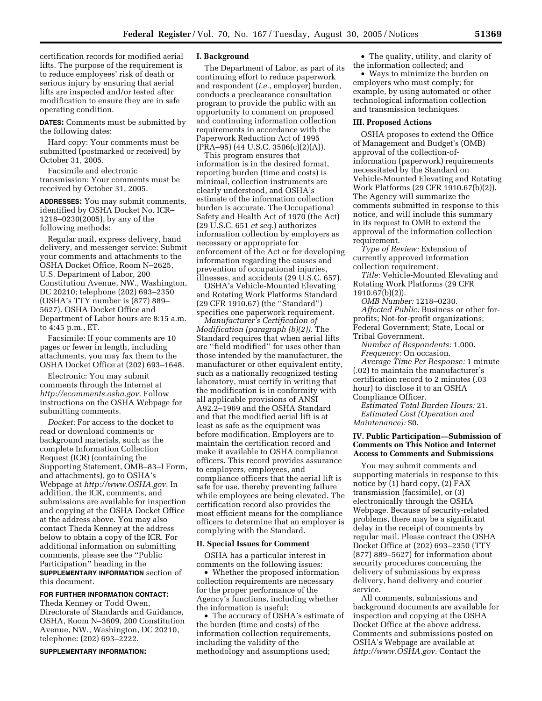certification records for modified aerial lifts. The purpose of the requirement is to reduce employees' risk of death or serious injury by ensuring that aerial lifts are inspected and/or tested after modification to ensure they are in safe operating condition.

**DATES:** Comments must be submitted by the following dates:

Hard copy: Your comments must be submitted (postmarked or received) by October 31, 2005.

Facsimile and electronic transmission: Your comments must be received by October 31, 2005.

**ADDRESSES:** You may submit comments, identified by OSHA Docket No. ICR– 1218–0230(2005), by any of the following methods:

Regular mail, express delivery, hand delivery, and messenger service: Submit your comments and attachments to the OSHA Docket Office, Room N–2625, U.S. Department of Labor, 200 Constitution Avenue, NW., Washington, DC 20210; telephone (202) 693–2350 (OSHA's TTY number is (877) 889– 5627). OSHA Docket Office and Department of Labor hours are 8:15 a.m. to 4:45 p.m., ET.

Facsimile: If your comments are 10 pages or fewer in length, including attachments, you may fax them to the OSHA Docket Office at (202) 693–1648.

Electronic: You may submit comments through the Internet at *http://ecomments.osha.gov*. Follow instructions on the OSHA Webpage for submitting comments.

*Docket:* For access to the docket to read or download comments or background materials, such as the complete Information Collection Request (ICR) (containing the Supporting Statement, OMB–83–I Form, and attachments), go to OSHA's Webpage at *http://www.OSHA.gov.* In addition, the ICR, comments, and submissions are available for inspection and copying at the OSHA Docket Office at the address above. You may also contact Theda Kenney at the address below to obtain a copy of the ICR. For additional information on submitting comments, please see the ''Public Participation'' heading in the **SUPPLEMENTARY INFORMATION** section of this document.

## **FOR FURTHER INFORMATION CONTACT:**

Theda Kenney or Todd Owen, Directorate of Standards and Guidance, OSHA, Room N–3609, 200 Constitution Avenue, NW., Washington, DC 20210, telephone: (202) 693–2222.

#### **SUPPLEMENTARY INFORMATION:**

### **I. Background**

The Department of Labor, as part of its continuing effort to reduce paperwork and respondent (*i.e.*, employer) burden, conducts a preclearance consultation program to provide the public with an opportunity to comment on proposed and continuing information collection requirements in accordance with the Paperwork Reduction Act of 1995 (PRA–95) (44 U.S.C. 3506(c)(2)(A)).

This program ensures that information is in the desired format, reporting burden (time and costs) is minimal, collection instruments are clearly understood, and OSHA's estimate of the information collection burden is accurate. The Occupational Safety and Health Act of 1970 (the Act) (29 U.S.C. 651 *et seq.*) authorizes information collection by employers as necessary or appropriate for enforcement of the Act or for developing information regarding the causes and prevention of occupational injuries, illnesses, and accidents (29 U.S.C. 657).

OSHA's Vehicle-Mounted Elevating and Rotating Work Platforms Standard (29 CFR 1910.67) (the ''Standard'') specifies one paperwork requirement.

*Manufacturer's Certification of Modification (paragraph (b)(2)).* The Standard requires that when aerial lifts are ''field modified'' for uses other than those intended by the manufacturer, the manufacturer or other equivalent entity, such as a nationally recognized testing laboratory, must certify in writing that the modification is in conformity with all applicable provisions of ANSI A92.2–1969 and the OSHA Standard and that the modified aerial lift is at least as safe as the equipment was before modification. Employers are to maintain the certification record and make it available to OSHA compliance officers. This record provides assurance to employers, employees, and compliance officers that the aerial lift is safe for use, thereby preventing failure while employees are being elevated. The certification record also provides the most efficient means for the compliance officers to determine that an employer is complying with the Standard.

### **II. Special Issues for Comment**

OSHA has a particular interest in comments on the following issues:

• Whether the proposed information collection requirements are necessary for the proper performance of the Agency's functions, including whether the information is useful;

• The accuracy of OSHA's estimate of the burden (time and costs) of the information collection requirements, including the validity of the methodology and assumptions used;

• The quality, utility, and clarity of the information collected; and

• Ways to minimize the burden on employers who must comply; for example, by using automated or other technological information collection and transmission techniques.

#### **III. Proposed Actions**

OSHA proposes to extend the Office of Management and Budget's (OMB) approval of the collection-ofinformation (paperwork) requirements necessitated by the Standard on Vehicle-Mounted Elevating and Rotating Work Platforms (29 CFR 1910.67(b)(2)). The Agency will summarize the comments submitted in response to this notice, and will include this summary in its request to OMB to extend the approval of the information collection requirement.

*Type of Review:* Extension of currently approved information collection requirement.

*Title:* Vehicle-Mounted Elevating and Rotating Work Platforms (29 CFR 1910.67(b)(2)).

*OMB Number:* 1218–0230. *Affected Public:* Business or other forprofits; Not-for-profit organizations; Federal Government; State, Local or Tribal Government.

*Number of Respondents:* 1,000. *Frequency:* On occasion.

*Average Time Per Response:* 1 minute (.02) to maintain the manufacturer's certification record to 2 minutes (.03 hour) to disclose it to an OSHA Compliance Officer.

*Estimated Total Burden Hours:* 21. *Estimated Cost (Operation and Maintenance):* \$0.

### **IV. Public Participation—Submission of Comments on This Notice and Internet Access to Comments and Submissions**

You may submit comments and supporting materials in response to this notice by (1) hard copy, (2) FAX transmission (facsimile), or (3) electronically through the OSHA Webpage. Because of security-related problems, there may be a significant delay in the receipt of comments by regular mail. Please contract the OSHA Docket Office at (202) 693–2350 (TTY (877) 889–5627) for information about security procedures concerning the delivery of submissions by express delivery, hand delivery and courier service.

All comments, submissions and background documents are available for inspection and copying at the OSHA Docket Office at the above address. Comments and submissions posted on OSHA's Webpage are available at *http://www.OSHA.gov.* Contact the